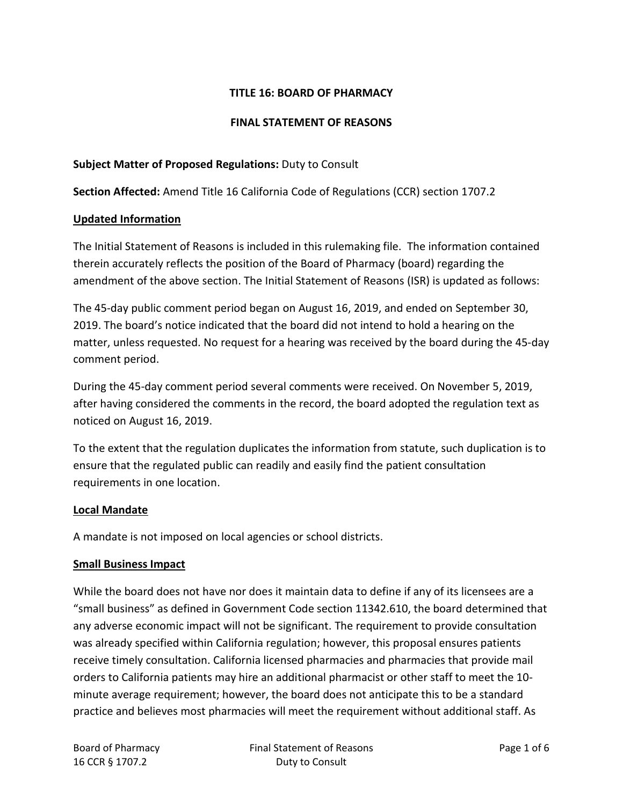## **TITLE 16: BOARD OF PHARMACY**

### **FINAL STATEMENT OF REASONS**

### **Subject Matter of Proposed Regulations:** Duty to Consult

**Section Affected:** Amend Title 16 California Code of Regulations (CCR) section 1707.2

#### **Updated Information**

The Initial Statement of Reasons is included in this rulemaking file. The information contained therein accurately reflects the position of the Board of Pharmacy (board) regarding the amendment of the above section. The Initial Statement of Reasons (ISR) is updated as follows:

The 45-day public comment period began on August 16, 2019, and ended on September 30, 2019. The board's notice indicated that the board did not intend to hold a hearing on the matter, unless requested. No request for a hearing was received by the board during the 45-day comment period.

During the 45-day comment period several comments were received. On November 5, 2019, after having considered the comments in the record, the board adopted the regulation text as noticed on August 16, 2019.

To the extent that the regulation duplicates the information from statute, such duplication is to ensure that the regulated public can readily and easily find the patient consultation requirements in one location.

#### **Local Mandate**

A mandate is not imposed on local agencies or school districts.

#### **Small Business Impact**

While the board does not have nor does it maintain data to define if any of its licensees are a "small business" as defined in Government Code section 11342.610, the board determined that any adverse economic impact will not be significant. The requirement to provide consultation was already specified within California regulation; however, this proposal ensures patients receive timely consultation. California licensed pharmacies and pharmacies that provide mail orders to California patients may hire an additional pharmacist or other staff to meet the 10 minute average requirement; however, the board does not anticipate this to be a standard practice and believes most pharmacies will meet the requirement without additional staff. As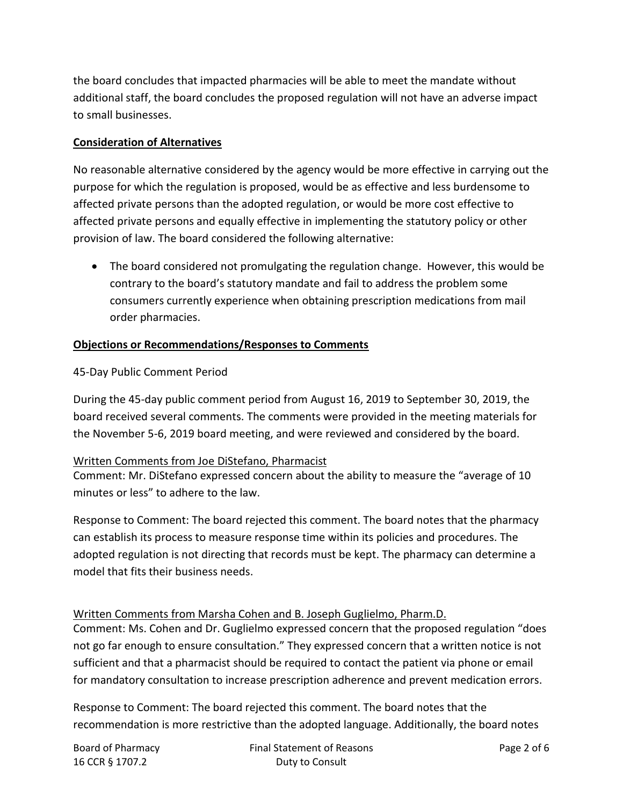the board concludes that impacted pharmacies will be able to meet the mandate without additional staff, the board concludes the proposed regulation will not have an adverse impact to small businesses.

## **Consideration of Alternatives**

No reasonable alternative considered by the agency would be more effective in carrying out the purpose for which the regulation is proposed, would be as effective and less burdensome to affected private persons than the adopted regulation, or would be more cost effective to affected private persons and equally effective in implementing the statutory policy or other provision of law. The board considered the following alternative:

• The board considered not promulgating the regulation change. However, this would be contrary to the board's statutory mandate and fail to address the problem some consumers currently experience when obtaining prescription medications from mail order pharmacies.

# **Objections or Recommendations/Responses to Comments**

# 45-Day Public Comment Period

During the 45-day public comment period from August 16, 2019 to September 30, 2019, the board received several comments. The comments were provided in the meeting materials for the November 5-6, 2019 board meeting, and were reviewed and considered by the board.

## Written Comments from Joe DiStefano, Pharmacist

Comment: Mr. DiStefano expressed concern about the ability to measure the "average of 10 minutes or less" to adhere to the law.

Response to Comment: The board rejected this comment. The board notes that the pharmacy can establish its process to measure response time within its policies and procedures. The adopted regulation is not directing that records must be kept. The pharmacy can determine a model that fits their business needs.

# Written Comments from Marsha Cohen and B. Joseph Guglielmo, Pharm.D.

Comment: Ms. Cohen and Dr. Guglielmo expressed concern that the proposed regulation "does not go far enough to ensure consultation." They expressed concern that a written notice is not sufficient and that a pharmacist should be required to contact the patient via phone or email for mandatory consultation to increase prescription adherence and prevent medication errors.

Response to Comment: The board rejected this comment. The board notes that the recommendation is more restrictive than the adopted language. Additionally, the board notes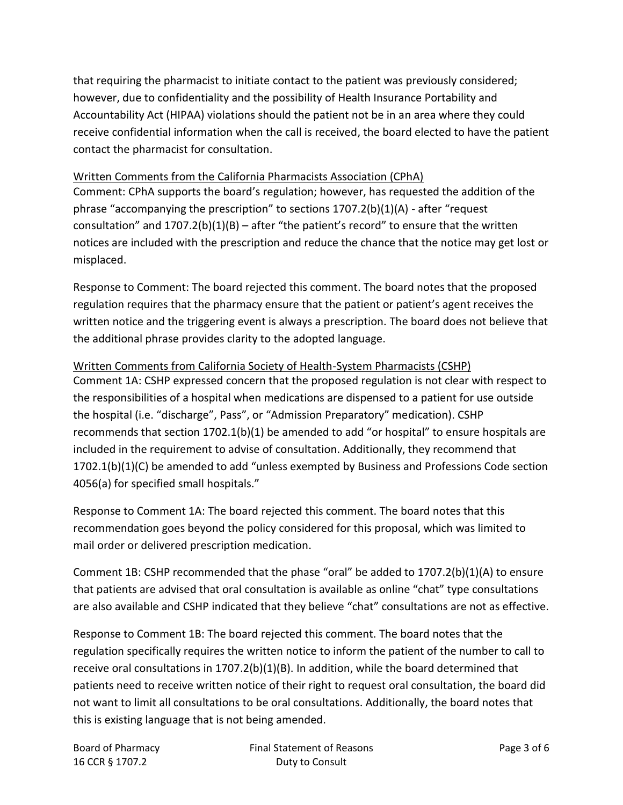that requiring the pharmacist to initiate contact to the patient was previously considered; however, due to confidentiality and the possibility of Health Insurance Portability and Accountability Act (HIPAA) violations should the patient not be in an area where they could receive confidential information when the call is received, the board elected to have the patient contact the pharmacist for consultation.

## Written Comments from the California Pharmacists Association (CPhA)

Comment: CPhA supports the board's regulation; however, has requested the addition of the phrase "accompanying the prescription" to sections 1707.2(b)(1)(A) - after "request consultation" and  $1707.2(b)(1)(B)$  – after "the patient's record" to ensure that the written notices are included with the prescription and reduce the chance that the notice may get lost or misplaced.

Response to Comment: The board rejected this comment. The board notes that the proposed regulation requires that the pharmacy ensure that the patient or patient's agent receives the written notice and the triggering event is always a prescription. The board does not believe that the additional phrase provides clarity to the adopted language.

# Written Comments from California Society of Health-System Pharmacists (CSHP)

Comment 1A: CSHP expressed concern that the proposed regulation is not clear with respect to the responsibilities of a hospital when medications are dispensed to a patient for use outside the hospital (i.e. "discharge", Pass", or "Admission Preparatory" medication). CSHP recommends that section 1702.1(b)(1) be amended to add "or hospital" to ensure hospitals are included in the requirement to advise of consultation. Additionally, they recommend that 1702.1(b)(1)(C) be amended to add "unless exempted by Business and Professions Code section 4056(a) for specified small hospitals."

Response to Comment 1A: The board rejected this comment. The board notes that this recommendation goes beyond the policy considered for this proposal, which was limited to mail order or delivered prescription medication.

Comment 1B: CSHP recommended that the phase "oral" be added to 1707.2(b)(1)(A) to ensure that patients are advised that oral consultation is available as online "chat" type consultations are also available and CSHP indicated that they believe "chat" consultations are not as effective.

Response to Comment 1B: The board rejected this comment. The board notes that the regulation specifically requires the written notice to inform the patient of the number to call to receive oral consultations in 1707.2(b)(1)(B). In addition, while the board determined that patients need to receive written notice of their right to request oral consultation, the board did not want to limit all consultations to be oral consultations. Additionally, the board notes that this is existing language that is not being amended.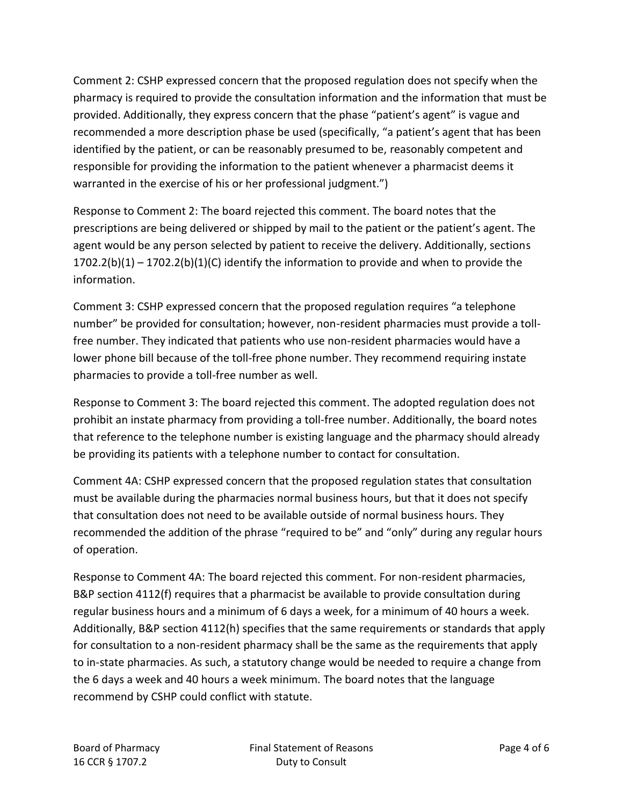Comment 2: CSHP expressed concern that the proposed regulation does not specify when the pharmacy is required to provide the consultation information and the information that must be provided. Additionally, they express concern that the phase "patient's agent" is vague and recommended a more description phase be used (specifically, "a patient's agent that has been identified by the patient, or can be reasonably presumed to be, reasonably competent and responsible for providing the information to the patient whenever a pharmacist deems it warranted in the exercise of his or her professional judgment.")

Response to Comment 2: The board rejected this comment. The board notes that the prescriptions are being delivered or shipped by mail to the patient or the patient's agent. The agent would be any person selected by patient to receive the delivery. Additionally, sections  $1702.2(b)(1) - 1702.2(b)(1)(C)$  identify the information to provide and when to provide the information.

Comment 3: CSHP expressed concern that the proposed regulation requires "a telephone number" be provided for consultation; however, non-resident pharmacies must provide a tollfree number. They indicated that patients who use non-resident pharmacies would have a lower phone bill because of the toll-free phone number. They recommend requiring instate pharmacies to provide a toll-free number as well.

Response to Comment 3: The board rejected this comment. The adopted regulation does not prohibit an instate pharmacy from providing a toll-free number. Additionally, the board notes that reference to the telephone number is existing language and the pharmacy should already be providing its patients with a telephone number to contact for consultation.

Comment 4A: CSHP expressed concern that the proposed regulation states that consultation must be available during the pharmacies normal business hours, but that it does not specify that consultation does not need to be available outside of normal business hours. They recommended the addition of the phrase "required to be" and "only" during any regular hours of operation.

Response to Comment 4A: The board rejected this comment. For non-resident pharmacies, B&P section 4112(f) requires that a pharmacist be available to provide consultation during regular business hours and a minimum of 6 days a week, for a minimum of 40 hours a week. Additionally, B&P section 4112(h) specifies that the same requirements or standards that apply for consultation to a non-resident pharmacy shall be the same as the requirements that apply to in-state pharmacies. As such, a statutory change would be needed to require a change from the 6 days a week and 40 hours a week minimum. The board notes that the language recommend by CSHP could conflict with statute.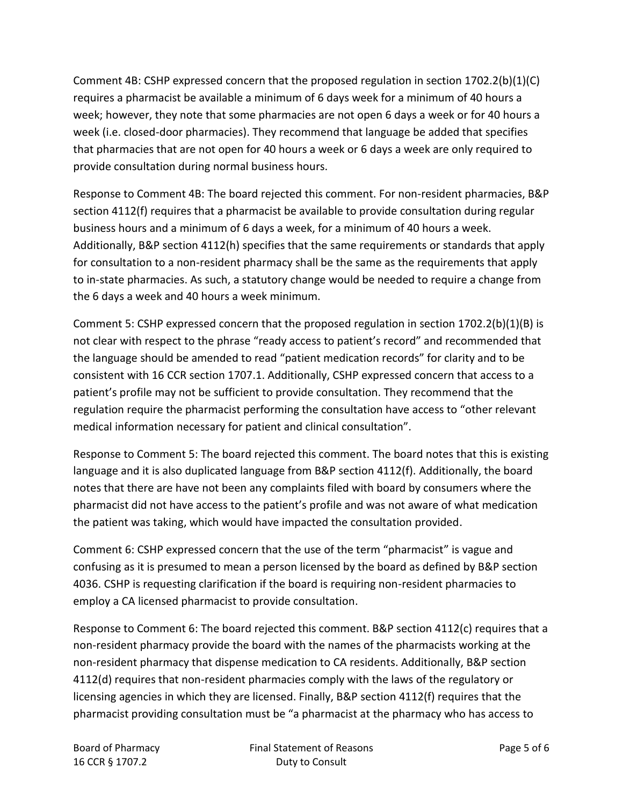Comment 4B: CSHP expressed concern that the proposed regulation in section 1702.2(b)(1)(C) requires a pharmacist be available a minimum of 6 days week for a minimum of 40 hours a week; however, they note that some pharmacies are not open 6 days a week or for 40 hours a week (i.e. closed-door pharmacies). They recommend that language be added that specifies that pharmacies that are not open for 40 hours a week or 6 days a week are only required to provide consultation during normal business hours.

Response to Comment 4B: The board rejected this comment. For non-resident pharmacies, B&P section 4112(f) requires that a pharmacist be available to provide consultation during regular business hours and a minimum of 6 days a week, for a minimum of 40 hours a week. Additionally, B&P section 4112(h) specifies that the same requirements or standards that apply for consultation to a non-resident pharmacy shall be the same as the requirements that apply to in-state pharmacies. As such, a statutory change would be needed to require a change from the 6 days a week and 40 hours a week minimum.

Comment 5: CSHP expressed concern that the proposed regulation in section 1702.2(b)(1)(B) is not clear with respect to the phrase "ready access to patient's record" and recommended that the language should be amended to read "patient medication records" for clarity and to be consistent with 16 CCR section 1707.1. Additionally, CSHP expressed concern that access to a patient's profile may not be sufficient to provide consultation. They recommend that the regulation require the pharmacist performing the consultation have access to "other relevant medical information necessary for patient and clinical consultation".

Response to Comment 5: The board rejected this comment. The board notes that this is existing language and it is also duplicated language from B&P section 4112(f). Additionally, the board notes that there are have not been any complaints filed with board by consumers where the pharmacist did not have access to the patient's profile and was not aware of what medication the patient was taking, which would have impacted the consultation provided.

Comment 6: CSHP expressed concern that the use of the term "pharmacist" is vague and confusing as it is presumed to mean a person licensed by the board as defined by B&P section 4036. CSHP is requesting clarification if the board is requiring non-resident pharmacies to employ a CA licensed pharmacist to provide consultation.

Response to Comment 6: The board rejected this comment. B&P section 4112(c) requires that a non-resident pharmacy provide the board with the names of the pharmacists working at the non-resident pharmacy that dispense medication to CA residents. Additionally, B&P section 4112(d) requires that non-resident pharmacies comply with the laws of the regulatory or licensing agencies in which they are licensed. Finally, B&P section 4112(f) requires that the pharmacist providing consultation must be "a pharmacist at the pharmacy who has access to